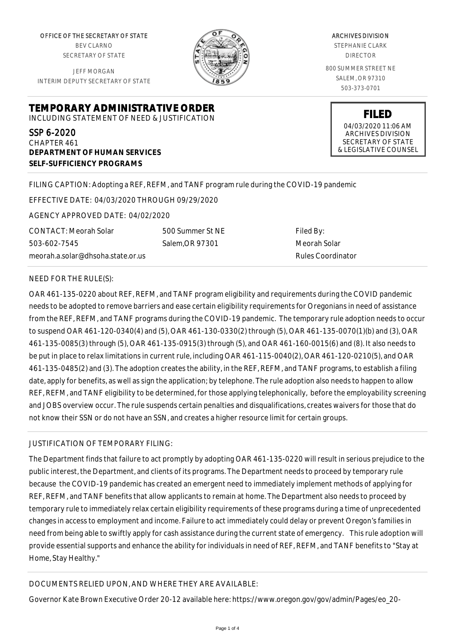OFFICE OF THE SECRETARY OF STATE BEV CLARNO SECRETARY OF STATE

JEFF MORGAN INTERIM DEPUTY SECRETARY OF STATE



ARCHIVES DIVISION STEPHANIE CLARK DIRECTOR 800 SUMMER STREET NE SALEM, OR 97310 503-373-0701

> **FILED** 04/03/2020 11:06 AM ARCHIVES DIVISION SECRETARY OF STATE & LEGISLATIVE COUNSEL

**TEMPORARY ADMINISTRATIVE ORDER**

INCLUDING STATEMENT OF NEED & JUSTIFICATION

SSP 6-2020 CHAPTER 461 **DEPARTMENT OF HUMAN SERVICES SELF-SUFFICIENCY PROGRAMS**

FILING CAPTION: Adopting a REF, REFM, and TANF program rule during the COVID-19 pandemic

EFFECTIVE DATE: 04/03/2020 THROUGH 09/29/2020

AGENCY APPROVED DATE: 04/02/2020

meorah.a.solar@dhsoha.state.or.us 500 Summer St NE Salem,OR 97301

Filed By: Meorah Solar Rules Coordinator

NEED FOR THE RULE(S):

CONTACT: Meorah Solar

503-602-7545

OAR 461-135-0220 about REF, REFM, and TANF program eligibility and requirements during the COVID pandemic needs to be adopted to remove barriers and ease certain eligibility requirements for Oregonians in need of assistance from the REF, REFM, and TANF programs during the COVID-19 pandemic. The temporary rule adoption needs to occur to suspend OAR 461-120-0340(4) and (5), OAR 461-130-0330(2) through (5), OAR 461-135-0070(1)(b) and (3), OAR 461-135-0085(3) through (5), OAR 461-135-0915(3) through (5), and OAR 461-160-0015(6) and (8). It also needs to be put in place to relax limitations in current rule, including OAR 461-115-0040(2), OAR 461-120-0210(5), and OAR 461-135-0485(2) and (3). The adoption creates the ability, in the REF, REFM, and TANF programs, to establish a filing date, apply for benefits, as well as sign the application; by telephone. The rule adoption also needs to happen to allow REF, REFM, and TANF eligibility to be determined, for those applying telephonically, before the employability screening and JOBS overview occur. The rule suspends certain penalties and disqualifications, creates waivers for those that do not know their SSN or do not have an SSN, and creates a higher resource limit for certain groups.

JUSTIFICATION OF TEMPORARY FILING:

The Department finds that failure to act promptly by adopting OAR 461-135-0220 will result in serious prejudice to the public interest, the Department, and clients of its programs. The Department needs to proceed by temporary rule because the COVID-19 pandemic has created an emergent need to immediately implement methods of applying for REF, REFM, and TANF benefits that allow applicants to remain at home. The Department also needs to proceed by temporary rule to immediately relax certain eligibility requirements of these programs during a time of unprecedented changes in access to employment and income. Failure to act immediately could delay or prevent Oregon's families in need from being able to swiftly apply for cash assistance during the current state of emergency. This rule adoption will provide essential supports and enhance the ability for individuals in need of REF, REFM, and TANF benefits to "Stay at Home, Stay Healthy."

## DOCUMENTS RELIED UPON, AND WHERE THEY ARE AVAILABLE:

Governor Kate Brown Executive Order 20-12 available here: https://www.oregon.gov/gov/admin/Pages/eo\_20-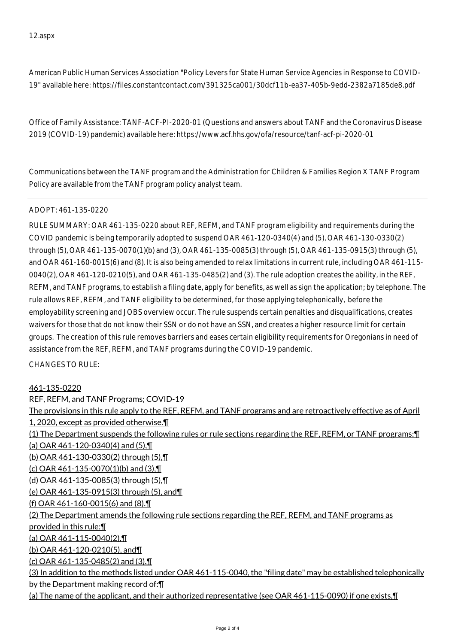American Public Human Services Association "Policy Levers for State Human Service Agencies in Response to COVID-19" available here: https://files.constantcontact.com/391325ca001/30dcf11b-ea37-405b-9edd-2382a7185de8.pdf

Office of Family Assistance: TANF-ACF-PI-2020-01 (Questions and answers about TANF and the Coronavirus Disease 2019 (COVID-19) pandemic) available here: https://www.acf.hhs.gov/ofa/resource/tanf-acf-pi-2020-01

Communications between the TANF program and the Administration for Children & Families Region X TANF Program Policy are available from the TANF program policy analyst team.

## ADOPT: 461-135-0220

RULE SUMMARY: OAR 461-135-0220 about REF, REFM, and TANF program eligibility and requirements during the COVID pandemic is being temporarily adopted to suspend OAR 461-120-0340(4) and (5), OAR 461-130-0330(2) through (5), OAR 461-135-0070(1)(b) and (3), OAR 461-135-0085(3) through (5), OAR 461-135-0915(3) through (5), and OAR 461-160-0015(6) and (8). It is also being amended to relax limitations in current rule, including OAR 461-115- 0040(2), OAR 461-120-0210(5), and OAR 461-135-0485(2) and (3). The rule adoption creates the ability, in the REF, REFM, and TANF programs, to establish a filing date, apply for benefits, as well as sign the application; by telephone. The rule allows REF, REFM, and TANF eligibility to be determined, for those applying telephonically, before the employability screening and JOBS overview occur. The rule suspends certain penalties and disqualifications, creates waivers for those that do not know their SSN or do not have an SSN, and creates a higher resource limit for certain groups. The creation of this rule removes barriers and eases certain eligibility requirements for Oregonians in need of assistance from the REF, REFM, and TANF programs during the COVID-19 pandemic.

## CHANGES TO RULE:

## 461-135-0220

REF, REFM, and TANF Programs; COVID-19 The provisions in this rule apply to the REF, REFM, and TANF programs and are retroactively effective as of April 1, 2020, except as provided otherwise.¶ (1) The Department suspends the following rules or rule sections regarding the REF, REFM, or TANF programs:¶ (a) OAR 461-120-0340(4) and (5),¶ (b) OAR 461-130-0330(2) through (5),¶ (c) OAR 461-135-0070(1)(b) and (3), $\P$ (d) OAR 461-135-0085(3) through (5),¶ (e) OAR 461-135-0915(3) through (5), and¶ (f) OAR 461-160-0015(6) and (8).¶ (2) The Department amends the following rule sections regarding the REF, REFM, and TANF programs as provided in this rule:¶ (a) OAR 461-115-0040(2),¶ (b) OAR 461-120-0210(5), and¶ (c) OAR 461-135-0485(2) and (3).¶ (3) In addition to the methods listed under OAR 461-115-0040, the "filing date" may be established telephonically by the Department making record of:¶ (a) The name of the applicant, and their authorized representative (see OAR 461-115-0090) if one exists,¶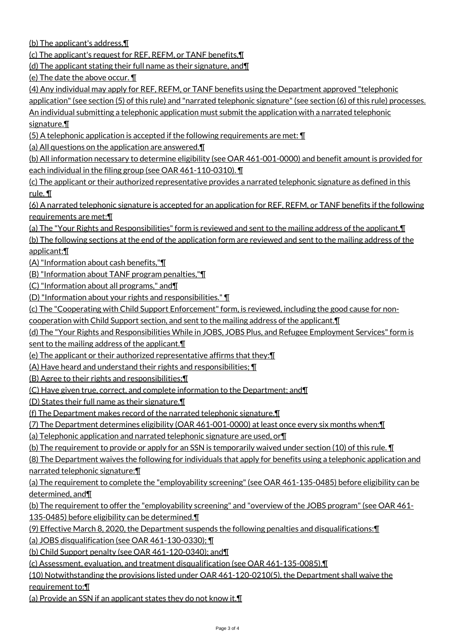(b) The applicant's address,¶

(c) The applicant's request for REF, REFM, or TANF benefits,¶

(d) The applicant stating their full name as their signature, and¶

(e) The date the above occur. ¶

(4) Any individual may apply for REF, REFM, or TANF benefits using the Department approved "telephonic

application" (see section (5) of this rule) and "narrated telephonic signature" (see section (6) of this rule) processes. An individual submitting a telephonic application must submit the application with a narrated telephonic signature.¶

 $(5)$  A telephonic application is accepted if the following requirements are met:  $\P$ 

(a) All questions on the application are answered.¶

(b) All information necessary to determine eligibility (see OAR 461-001-0000) and benefit amount is provided for each individual in the filing group (see OAR 461-110-0310). ¶

(c) The applicant or their authorized representative provides a narrated telephonic signature as defined in this rule. ¶

(6) A narrated telephonic signature is accepted for an application for REF, REFM, or TANF benefits if the following requirements are met:¶

(a) The "Your Rights and Responsibilities" form is reviewed and sent to the mailing address of the applicant.¶

(b) The following sections at the end of the application form are reviewed and sent to the mailing address of the applicant:¶

(A) "Information about cash benefits,"¶

(B) "Information about TANF program penalties,"¶

(C) "Information about all programs," and¶

(D) "Information about your rights and responsibilities." ¶

(c) The "Cooperating with Child Support Enforcement" form, is reviewed, including the good cause for non-

cooperation with Child Support section, and sent to the mailing address of the applicant.¶

(d) The "Your Rights and Responsibilities While in JOBS, JOBS Plus, and Refugee Employment Services" form is

sent to the mailing address of the applicant.¶

(e) The applicant or their authorized representative affirms that they:¶

(A) Have heard and understand their rights and responsibilities; ¶

(B) Agree to their rights and responsibilities;¶

(C) Have given true, correct, and complete information to the Department; and¶

(D) States their full name as their signature.¶

(f) The Department makes record of the narrated telephonic signature.¶

(7) The Department determines eligibility (OAR 461-001-0000) at least once every six months when:¶

(a) Telephonic application and narrated telephonic signature are used, or¶

(b) The requirement to provide or apply for an SSN is temporarily waived under section (10) of this rule. ¶

(8) The Department waives the following for individuals that apply for benefits using a telephonic application and narrated telephonic signature:¶

(a) The requirement to complete the "employability screening" (see OAR 461-135-0485) before eligibility can be determined, and¶

(b) The requirement to offer the "employability screening" and "overview of the JOBS program" (see OAR 461- 135-0485) before eligibility can be determined.¶

(9) Effective March 8, 2020, the Department suspends the following penalties and disqualifications:¶

(a) JOBS disqualification (see OAR 461-130-0330); ¶

(b) Child Support penalty (see OAR 461-120-0340); and¶

(c) Assessment, evaluation, and treatment disqualification (see OAR 461-135-0085).¶

(10) Notwithstanding the provisions listed under OAR 461-120-0210(5), the Department shall waive the requirement to:¶

(a) Provide an SSN if an applicant states they do not know it.¶